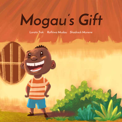# Mogau's Gift

Lorato Trok Rofhiwa Mudau Shadrack Munene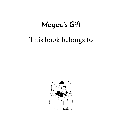## *Mogau's Gift*

## This book belongs to

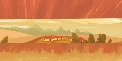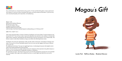*Mogau's Gift* Illustrated by Shadrack Munene Written by Lorato Trok Designed by Rofhiwa Mudau Edited by Kelly Norwood-Young with the help of the Book Dash participants in Johanneburg on 25 February 2017

ISBN: 978-1-928377-34-4

This work is licensed under a Creative Commons Attribution 4.0 Licence (http://creativecommons.org/ licenses/by/4.0/). You are free to share (copy and redistribute the material in any medium or format) and adapt (remix, transform, and build upon the material) this work for any purpose, even commercially. The licensor cannot revoke these freedoms as long as you follow the following license terms:

Attribution: You must give appropriate credit, provide a link to the license, and indicate if changes were made. You may do so in any reasonable manner, but not in any way that suggests the licensor endorses you or your use.

No additional restrictions: You may not apply legal terms or technological measures that legally restrict others from doing anything the license permits.

Notices: You do not have to comply with the license for elements of the material in the public domain or where your use is permitted by an applicable exception or limitation.

No warranties are given. The license may not give you all of the permissions necessary for your intended use. For example, other rights such as publicity, privacy, or moral rights may limit how you use the material.



*Every child should own a hundred books by the age of five. To that end, Book Dash gathers creative professionals who volunteer to create new, African storybooks that anyone can freely translate and distribute. To find out more, and to download beautiful, print-ready books, visit [bookdash.org.](http://bookdash.org)*

# *Mogau's Gift*



*Lorato Trok Rofhiwa Mudau Shadrack Munene*

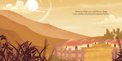Batloung village was a dull African village, where nothing interesting had happened before …

0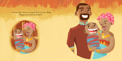… until one day, when an unusual child was born. Baby Mogau had a full set of teeth!



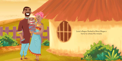Local villagers flocked to Mma Mogau's home to witness this miracle.

 $\overline{\epsilon}$   $\overline{\epsilon}$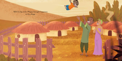With his big smile, Mogau brought happiness to the village.

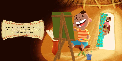Soon, Mogau's parents realised he was a gifted child. By the time he was six months old, he could walk, read books and paint pictures.<br>Manusula Constantin Manusula

wanner monday non me

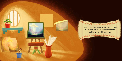Mogau painted the same picture over and over. His mother realised that they needed to find the place in his paintings.arminassassining

appearance and report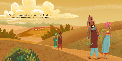They left the village and started their journey. The villagers who loved Mogau's smile decided to follow them.

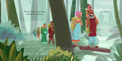They travelled for many days, walking through forests,

## over streams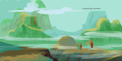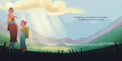Finally, they reached Mogau's special place. It looked exactly like his paintings!

 $11.11$ 

 $\epsilon$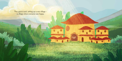They got to work, setting up a new village a village where everyone was happy.

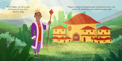Mogau's kingdom of happiness grew and became known, near and far. He was the king who made his people smile!

When Mogau was old enough, he became the king of this colourful village.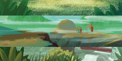